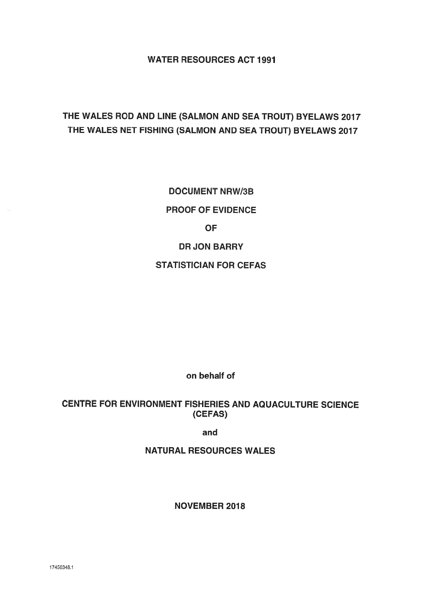WATER RESOURCES ACT 1991

## THE WALES ROD AND LINE (SALMON AND SEA TROUT) BYELAWS 2017 THE WALES NET FISHING (SALMON AND SEA TROUT) BYELAWS 2017

DOCUMENT NRW/3B PROOF OF EVIDENCE **OF** DR JON BARRY STATISTICIAN FOR CEFAS

on behalf of

#### CENTRE FOR ENVIRONMENT FISHERIES AND AQUACULTURE SCIENCE (CEFAS)

and

NATURAL RESOURCES WALES

NOVEMBER 2018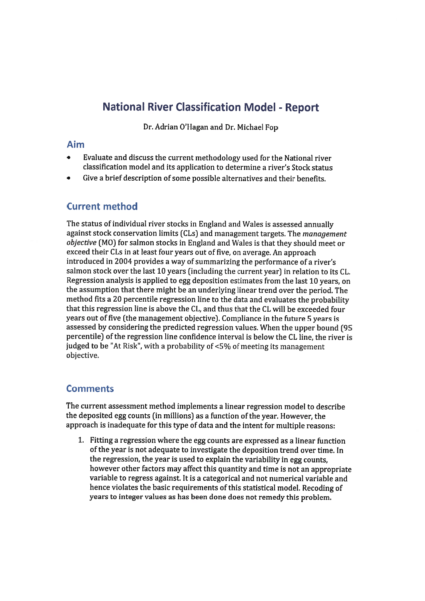## **National River Classification Model - Report**

Dr. Adrian O'Hagan and Dr. Michael Fop

#### Aim

- • Evaluate and discuss the current methodology used for the National river classification model and its application to determine <sup>a</sup> river's Stock status
- •Give a brief description of some possible alternatives and their benefits.

### Current method

The status of individual river stocks in England and Wales is assessed annually against stock conservation limits (CLs) and managemen<sup>t</sup> targets. The managemen<sup>t</sup> objective (MO) for salmon stocks in England and Wales is that they should meet or exceed their CLs in at least four years out of five, on average. An approac<sup>h</sup> introduced in <sup>2004</sup> provides <sup>a</sup> way of summarizing the performance of <sup>a</sup> river's salmon stock over the last <sup>10</sup> years (including the current year) in relation to its CL. Regression analysis is applied to egg deposition estimates from the last <sup>10</sup> years, on the assumption that there might be an underlying linear trend over the period. The method fits <sup>a</sup> <sup>20</sup> percentile regression line to the data and evaluates the probability that this regression line is above the CL, and thus that the CL will be exceeded four years out of five (the managemen<sup>t</sup> objective). Compliance in the future <sup>5</sup> years is assessed by considering the predicted regression values. When the upper bound (95 percentile) of the regression line confidence interval is below the CL line, the river is judged to be "At Risk", with <sup>a</sup> probability of <5% of meeting its managemen<sup>t</sup> objective.

#### **Comments**

The current assessment method implements <sup>a</sup> linear regression model to describe the deposited egg counts (in millions) as <sup>a</sup> function of the year. However, the approac<sup>h</sup> is inadequate for this type of data and the intent for multiple reasons:

1. fitting <sup>a</sup> regression where the egg counts are expressed as <sup>a</sup> linear function of the year is not adequate to investigate the deposition trend over time. In the regression, the year is used to explain the variability in egg counts, however other factors may affect this quantity and time is not an appropriate variable to regress against. It is <sup>a</sup> categorical and not numerical variable and hence violates the basic requirements of this statistical model. Recoding of years to integer values as has been done does not remedy this problem.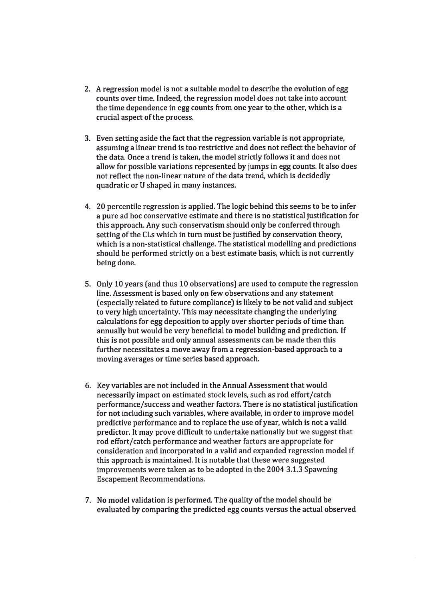- 2. A regression model is not <sup>a</sup> suitable model to describe the evolution of egg counts over time. Indeed, the regression model does not take into account the time dependence in egg counts from one year to the other, which is <sup>a</sup> crucial aspec<sup>t</sup> of the process.
- 3. Even setting aside the fact that the regression variable is not appropriate, assuming <sup>a</sup> linear trend is too restrictive and does not reflect the behavior of the data. Once <sup>a</sup> trend is taken, the model strictly follows it and does not allow for possible variations represented by jumps in egg counts. It also does not reflect the non-linear nature of the data trend, which is decidedly quadratic or U shaped in many instances.
- 4. 20 percentile regression is applied. The logic behind this seems to be to infer a pure ad hoc conservative estimate and there is no statistical justification for this approach. Any such conservatism should only be conferred through setting of the CLs which in turn must be justified by conservation theory, which is <sup>a</sup> non-statistical challenge. The statistical modelling and predictions should be performed strictly on <sup>a</sup> best estimate basis, which is not currently being done.
- 5. Only 10 years (and thus 10 observations) are used to compute the regression line. Assessment is based only on few observations and any statement (especially related to future compliance) is likely to be not valid and subject to very high uncertainty. This may necessitate changing the underlying calculations for egg deposition to apply over shorter periods of time than annually but would be very beneficial to model building and prediction. If this is not possible and only annual assessments can be made then this further necessitates a move away from <sup>a</sup> regression-based approach to <sup>a</sup> moving averages or time series based approach.
- 6. Key variables are not included in the Annual Assessment that would necessarily impact on estimated stock levels, such as rod effort/catch performance/success and weather factors. There is no statistical justification for not including such variables, where available, in order to improve model predictive performance and to replace the use of year, which is not <sup>a</sup> valid predictor. It may prove difficult to undertake nationally but we sugges<sup>t</sup> that rod effort/catch performance and weather factors are appropriate for consideration and incorporated in <sup>a</sup> valid and expanded regression model if this approach is maintained. It is notable that these were suggested improvements were taken as to be adopted in the 2004 3.1.3 Spawning Escapement Recommendations.
- 7. No model validation is performed. The quality of the model should be evaluated by comparing the predicted egg counts versus the actual observed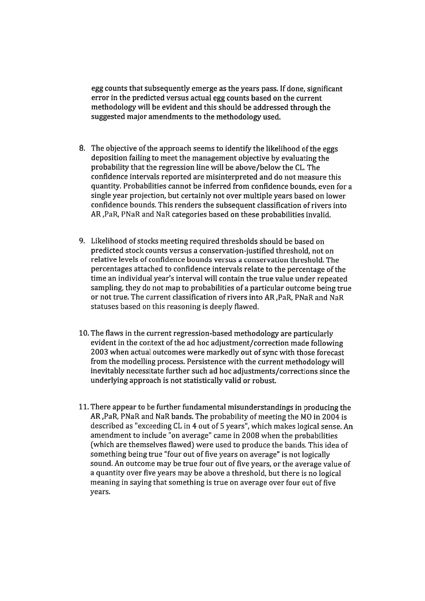egg counts that subsequently emerge as the years pass. If done, significant error in the predicted versus actual egg counts based on the current methodology will be evident and this should be addressed through the suggested major amendments to the methodology used.

- 8. The objective of the approac<sup>h</sup> seems to identify the likelihood of the eggs deposition failing to meet the managemen<sup>t</sup> objective by evaluating the probability that the regression line will be above/below the CL. The confidence intervals reported are misinterpreted and do not measure this quantity. Probabilities cannot be inferred from confidence bounds, even for <sup>a</sup> single year projection, but certainly not over multiple years based on lower confidence bounds. This renders the subsequent classification of rivers into AR ,PaR, PNaR and NaR categories based on these probabilities invalid.
- 9. Likelihood of stocks meeting required thresholds should be based on predicted stock counts versus <sup>a</sup> conservation-justified threshold, not on relative levels of confidence bounds versus <sup>a</sup> conservation threshold. The percentages attached to confidence intervals relate to the percentage of the time an individual year's interval will contain the true value under repeated sampling, they do not map to probabilities of <sup>a</sup> particular outcome being true or not true. The current classification of rivers into AR ,PaR, PNaR and NaR statuses based on this reasoning is deeply flawed.
- 10. The flaws in the current regression-based methodology are particularly evident in the context of the ad hoc adjustment/correction made following 2003 when actual outcomes were markedly out of sync with those forecast from the modelling process. Persistence with the current methodology will inevitably necessitate further such ad hoc adjustments/corrections since the underlying approach is not statistically valid or robust.
- 11. There appear to be further fundamental misunderstandings in producing the AR ,PaR, PNaR and NaR bands. The probability of meeting the MO in 2004 is described as "exceeding CL in <sup>4</sup> out of <sup>5</sup> years", which makes logical sense. An amendment to include "on average" came in 2008 when the probabilities (which are themselves flawed) were used to produce the bands. This idea of something being true "four out of five years on average" is not logically sound. An outcome may be true four out of five years, or the average value of <sup>a</sup> quantity over five years may be above <sup>a</sup> threshold, but there is no logical meaning in saying that something is true on average over four out of five years.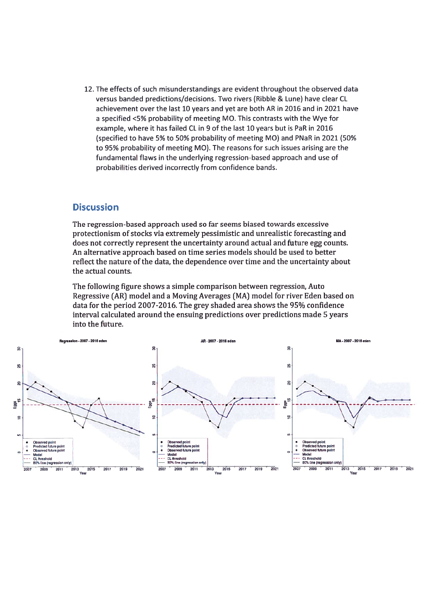12. The effects of such misunderstandings are evident throughout the observed data versus banded predictions/decisions. Two rivers (Ribble & Lune) have clear CL achievement over the last 10 years and ye<sup>t</sup> are both AR in 2016 and in 2021 have a specified <5% probability of meeting MO. This contrasts with the Wye for example, where it has failed CL in 9 of the last 10 years but is PaR in 2016 (specified to have 5% to 50% probability of meeting MO) and PNaR in 2021 (50% to 95% probability of meeting MO). The reasons for such issues arising are the fundamental flaws in the underlying regression-based approach and use of probabilities derived incorrectly from confidence bands.

#### **Discussion**

The regression-based approach used so far seems biased towards excessive protectionism of stocks via extremely pessimistic and unrealistic forecasting and does not correctly represen<sup>t</sup> the uncertainty around actual and future egg counts. An alternative approach based on time series models should be used to better reflect the nature of the data, the dependence over time and the uncertainty about the actual counts.

The following figure shows <sup>a</sup> simple comparison between regression, Auto Regressive (AR] model and <sup>a</sup> Moving Averages (MA] model for river Eden based on data for the period 2007-2016. The grey shaded area shows the 95% confidence interval calculated around the ensuing predictions over predictions made 5 years into the future.

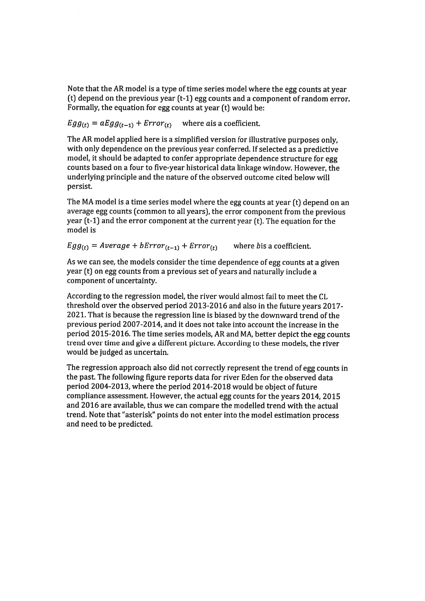Note that the AR model is <sup>a</sup> type of time series model where the egg counts at year (t) depend on the previous year (t-1) egg counts and <sup>a</sup> componen<sup>t</sup> of random error. Formally, the equation for egg counts at year (t) would be:

 $Egg_{(t)} = aEgg_{(t-1)} + Error_{(t)}$  where ais a coefficient.

The AR model applied here is <sup>a</sup> simplified version for illustrative purposes only, with only dependence on the previous year conferred. If selected as <sup>a</sup> predictive model, it should be adapted to confer appropriate dependence structure for egg counts based on <sup>a</sup> four to five-year historical data linkage window. However, the underlying principle and the nature of the observed outcome cited below will persist.

The MA model is <sup>a</sup> time series model where the egg counts at year (t) depend on an average egg counts (common to all years), the error componen<sup>t</sup> from the previous year (t-1) and the error componen<sup>t</sup> at the current year (t). The equation for the model is

 $Egg_{(t)} = Average + bError_{(t-1)} + Error_{(t)}$  where bis a coefficient.

As we can see, the models consider the time dependence of egg counts at <sup>a</sup> <sup>g</sup>iven year (t) on egg counts from <sup>a</sup> previous set of years and naturally include <sup>a</sup> componen<sup>t</sup> of uncertainty.

According to the regression model, the river would almost fail to meet the CL threshold over the observed period 2013-2016 and also in the future years 2017- 2021. That is because the regression line is biased by the downward trend of the previous period 2007-2014, and it does not take into account the increase in the period 2015-2016. The time series models, AR and MA, better depict the egg counts trend over time and give <sup>a</sup> different picture. According to these models, the river would be judged as uncertain.

The regression approac<sup>h</sup> also did not correctly represen<sup>t</sup> the trend of egg counts in the past. The following figure reports data for river Eden for the observed data period 2004-2013, where the period 2014-2018 would be object of future compliance assessment. However, the actual egg counts for the years 2014, 2015 and 2016 are available, thus we can compare the modelled trend with the actual trend. Note that "asterisk" points do not enter into the model estimation process and need to be predicted.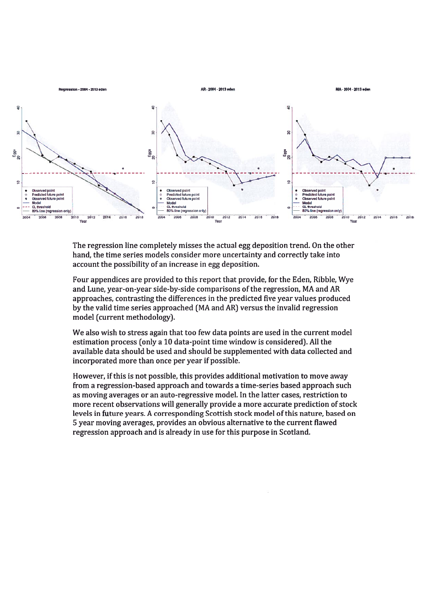

The regression line completely misses the actual egg deposition trend. On the other hand, the time series models consider more uncertainty and correctly take into account the possibility of an increase in egg deposition.

Four appendices are provided to this repor<sup>t</sup> that provide, for the Eden, Ribble, Wye and Lune, year-on-year side-by-side comparisons of the regression, MA and AR approaches, contrasting the differences in the predicted five year values produced by the valid time series approached (MA and AR) versus the invalid regression model (current methodology).

We also wish to stress again that too few data points are used in the current model estimation process (only <sup>a</sup> 10 data-point time window is considered). All the available data should be used and should be supplemented with data collected and incorporated more than once per year if possible.

However, if this is not possible, this provides additional motivation to move away from <sup>a</sup> regression-based approach and towards <sup>a</sup> time-series based approach such as moving averages or an auto-regressive model. In the latter cases, restriction to more recent observations will generally provide <sup>a</sup> more accurate prediction of stock levels in future years. A corresponding Scottish stock model ofthis nature, based on 5 year moving averages, provides an obvious alternative to the current flawed regression approach and is already in use for this purpose in Scotland.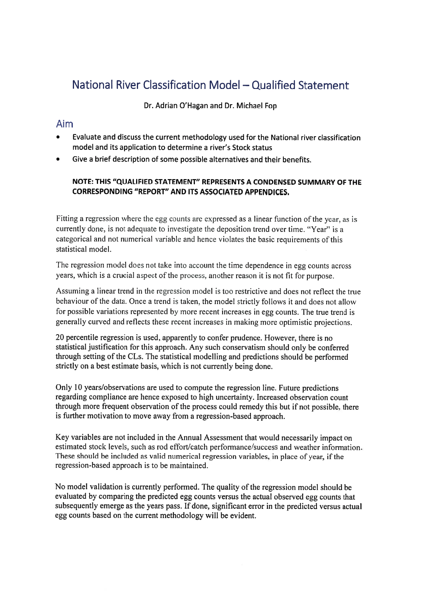# National River Classification Model — Qualified Statement

Dr. Adrian O'Hagan and Dr. Michael Fop

#### Aim

- Evaluate and discuss the current methodology used for the National river classification model and its application to determine <sup>a</sup> river's Stock status
- •Give <sup>a</sup> brief description of some possible alternatives and their benefits.

#### NOTE: THIS "QUALIFIED STATEMENT" REPRESENTS A CONDENSED SUMMARY OF THE CORRESPONDING "REPORT" AND ITS ASSOCIATED APPENDICES.

Fitting <sup>a</sup> regression where the egg counts are expresse<sup>d</sup> as <sup>a</sup> linear function of the year, as is currently done, is not adequate to investigate the deposition trend over time. "Year" is <sup>a</sup> categorical and not numerical variable and hence violates the basic requirements ofthis statistical model.

The regression model does not take into account the time dependence in egg counts across years, which is <sup>a</sup> crucial aspec<sup>t</sup> of the process, another reason it is not fit for purpose.

Assuming <sup>a</sup> linear trend in the regression model is too restrictive and does not reflect the true behaviour of the data. Once <sup>a</sup> trend is taken, the model strictly follows it and does not allow for possible variations represented by more recent increases in egg counts. The true trend is generally curved and reflects these recent increases in making more optimistic projections.

20 percentile regression is used, apparently to confer prudence. However, there is no statistical justification for this approach. Any such conservatism should only be conferred through setting of the CLs. The statistical modelling and predictions should be performed strictly on <sup>a</sup> best estimate basis, which is not currently being done.

Only <sup>10</sup> years/observations are used to compute the regression line. Future predictions regarding compliance are hence exposed to high uncertainty. Increased observation count through more frequent observation of the process could remedy this but if not possible, there is further motivation to move away from <sup>a</sup> regression-based approach.

Key variables are not included in the Annual Assessment that would necessarily impact on estimated stock levels, such as rod effort/catch performance/success and weather information. These should be included as valid numerical regression variables, in <sup>p</sup>lace of year, if the regression-based approach is to be maintained.

No model validation is currently performed. The quality of the regression model should be evaluated by comparing the predicted egg counts versus the actual observed egg counts that subsequently emerge as the years pass. If done, significant error in the predicted versus actual egg counts based on the current methodology will be evident.